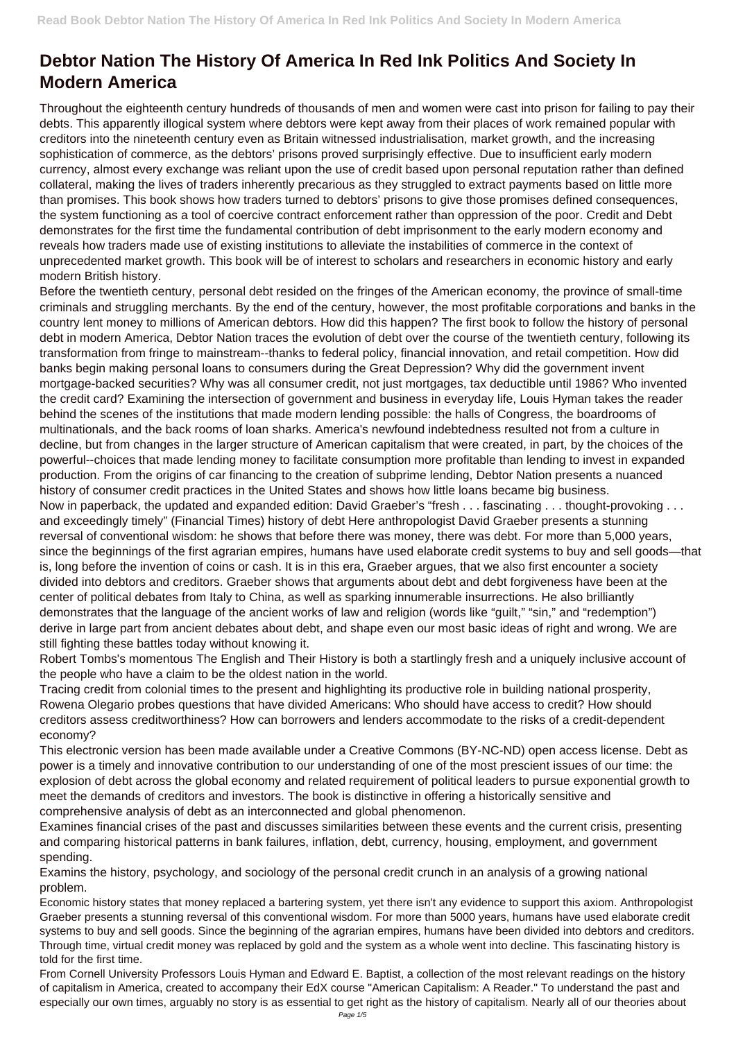## **Debtor Nation The History Of America In Red Ink Politics And Society In Modern America**

Throughout the eighteenth century hundreds of thousands of men and women were cast into prison for failing to pay their debts. This apparently illogical system where debtors were kept away from their places of work remained popular with creditors into the nineteenth century even as Britain witnessed industrialisation, market growth, and the increasing sophistication of commerce, as the debtors' prisons proved surprisingly effective. Due to insufficient early modern currency, almost every exchange was reliant upon the use of credit based upon personal reputation rather than defined collateral, making the lives of traders inherently precarious as they struggled to extract payments based on little more than promises. This book shows how traders turned to debtors' prisons to give those promises defined consequences, the system functioning as a tool of coercive contract enforcement rather than oppression of the poor. Credit and Debt demonstrates for the first time the fundamental contribution of debt imprisonment to the early modern economy and reveals how traders made use of existing institutions to alleviate the instabilities of commerce in the context of unprecedented market growth. This book will be of interest to scholars and researchers in economic history and early modern British history.

Before the twentieth century, personal debt resided on the fringes of the American economy, the province of small-time criminals and struggling merchants. By the end of the century, however, the most profitable corporations and banks in the country lent money to millions of American debtors. How did this happen? The first book to follow the history of personal debt in modern America, Debtor Nation traces the evolution of debt over the course of the twentieth century, following its transformation from fringe to mainstream--thanks to federal policy, financial innovation, and retail competition. How did banks begin making personal loans to consumers during the Great Depression? Why did the government invent mortgage-backed securities? Why was all consumer credit, not just mortgages, tax deductible until 1986? Who invented the credit card? Examining the intersection of government and business in everyday life, Louis Hyman takes the reader behind the scenes of the institutions that made modern lending possible: the halls of Congress, the boardrooms of multinationals, and the back rooms of loan sharks. America's newfound indebtedness resulted not from a culture in decline, but from changes in the larger structure of American capitalism that were created, in part, by the choices of the powerful--choices that made lending money to facilitate consumption more profitable than lending to invest in expanded production. From the origins of car financing to the creation of subprime lending, Debtor Nation presents a nuanced history of consumer credit practices in the United States and shows how little loans became big business. Now in paperback, the updated and expanded edition: David Graeber's "fresh . . . fascinating . . . thought-provoking . . . and exceedingly timely" (Financial Times) history of debt Here anthropologist David Graeber presents a stunning reversal of conventional wisdom: he shows that before there was money, there was debt. For more than 5,000 years, since the beginnings of the first agrarian empires, humans have used elaborate credit systems to buy and sell goods—that is, long before the invention of coins or cash. It is in this era, Graeber argues, that we also first encounter a society divided into debtors and creditors. Graeber shows that arguments about debt and debt forgiveness have been at the center of political debates from Italy to China, as well as sparking innumerable insurrections. He also brilliantly demonstrates that the language of the ancient works of law and religion (words like "guilt," "sin," and "redemption") derive in large part from ancient debates about debt, and shape even our most basic ideas of right and wrong. We are still fighting these battles today without knowing it.

Robert Tombs's momentous The English and Their History is both a startlingly fresh and a uniquely inclusive account of the people who have a claim to be the oldest nation in the world.

Tracing credit from colonial times to the present and highlighting its productive role in building national prosperity, Rowena Olegario probes questions that have divided Americans: Who should have access to credit? How should creditors assess creditworthiness? How can borrowers and lenders accommodate to the risks of a credit-dependent economy?

This electronic version has been made available under a Creative Commons (BY-NC-ND) open access license. Debt as power is a timely and innovative contribution to our understanding of one of the most prescient issues of our time: the explosion of debt across the global economy and related requirement of political leaders to pursue exponential growth to meet the demands of creditors and investors. The book is distinctive in offering a historically sensitive and comprehensive analysis of debt as an interconnected and global phenomenon. Examines financial crises of the past and discusses similarities between these events and the current crisis, presenting and comparing historical patterns in bank failures, inflation, debt, currency, housing, employment, and government spending.

Examins the history, psychology, and sociology of the personal credit crunch in an analysis of a growing national problem.

Economic history states that money replaced a bartering system, yet there isn't any evidence to support this axiom. Anthropologist Graeber presents a stunning reversal of this conventional wisdom. For more than 5000 years, humans have used elaborate credit systems to buy and sell goods. Since the beginning of the agrarian empires, humans have been divided into debtors and creditors. Through time, virtual credit money was replaced by gold and the system as a whole went into decline. This fascinating history is told for the first time.

From Cornell University Professors Louis Hyman and Edward E. Baptist, a collection of the most relevant readings on the history of capitalism in America, created to accompany their EdX course "American Capitalism: A Reader." To understand the past and especially our own times, arguably no story is as essential to get right as the history of capitalism. Nearly all of our theories about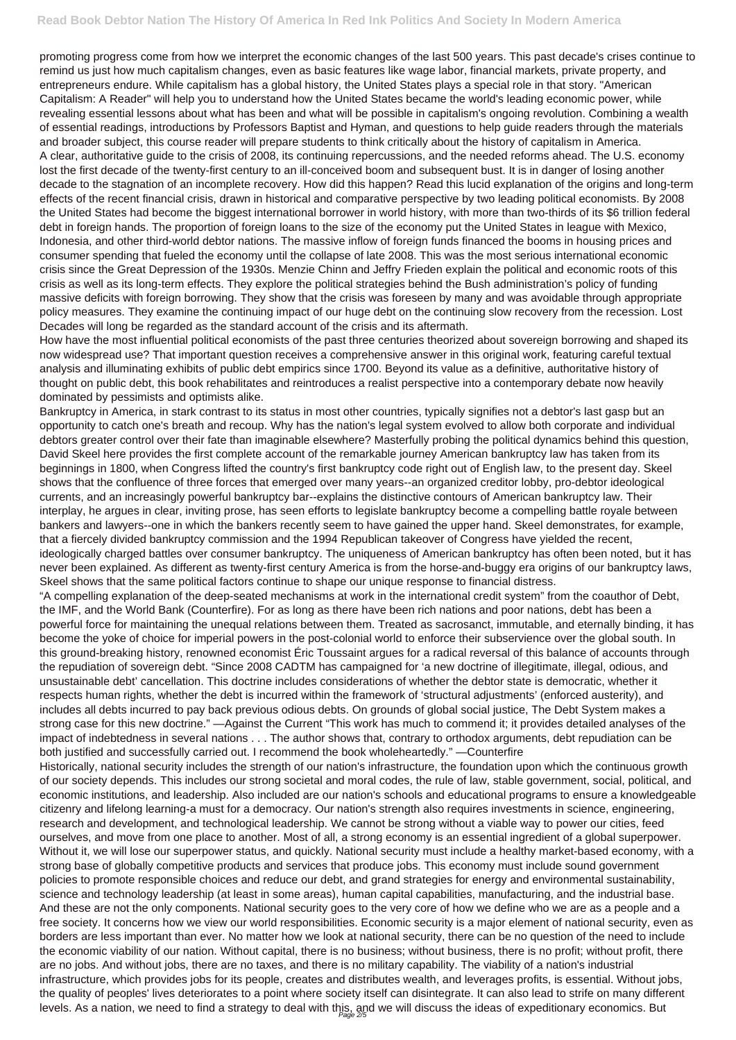promoting progress come from how we interpret the economic changes of the last 500 years. This past decade's crises continue to remind us just how much capitalism changes, even as basic features like wage labor, financial markets, private property, and entrepreneurs endure. While capitalism has a global history, the United States plays a special role in that story. "American Capitalism: A Reader" will help you to understand how the United States became the world's leading economic power, while revealing essential lessons about what has been and what will be possible in capitalism's ongoing revolution. Combining a wealth of essential readings, introductions by Professors Baptist and Hyman, and questions to help guide readers through the materials and broader subject, this course reader will prepare students to think critically about the history of capitalism in America. A clear, authoritative guide to the crisis of 2008, its continuing repercussions, and the needed reforms ahead. The U.S. economy lost the first decade of the twenty-first century to an ill-conceived boom and subsequent bust. It is in danger of losing another decade to the stagnation of an incomplete recovery. How did this happen? Read this lucid explanation of the origins and long-term effects of the recent financial crisis, drawn in historical and comparative perspective by two leading political economists. By 2008 the United States had become the biggest international borrower in world history, with more than two-thirds of its \$6 trillion federal debt in foreign hands. The proportion of foreign loans to the size of the economy put the United States in league with Mexico, Indonesia, and other third-world debtor nations. The massive inflow of foreign funds financed the booms in housing prices and consumer spending that fueled the economy until the collapse of late 2008. This was the most serious international economic crisis since the Great Depression of the 1930s. Menzie Chinn and Jeffry Frieden explain the political and economic roots of this crisis as well as its long-term effects. They explore the political strategies behind the Bush administration's policy of funding massive deficits with foreign borrowing. They show that the crisis was foreseen by many and was avoidable through appropriate policy measures. They examine the continuing impact of our huge debt on the continuing slow recovery from the recession. Lost Decades will long be regarded as the standard account of the crisis and its aftermath.

How have the most influential political economists of the past three centuries theorized about sovereign borrowing and shaped its now widespread use? That important question receives a comprehensive answer in this original work, featuring careful textual analysis and illuminating exhibits of public debt empirics since 1700. Beyond its value as a definitive, authoritative history of thought on public debt, this book rehabilitates and reintroduces a realist perspective into a contemporary debate now heavily dominated by pessimists and optimists alike.

Historically, national security includes the strength of our nation's infrastructure, the foundation upon which the continuous growth of our society depends. This includes our strong societal and moral codes, the rule of law, stable government, social, political, and economic institutions, and leadership. Also included are our nation's schools and educational programs to ensure a knowledgeable citizenry and lifelong learning-a must for a democracy. Our nation's strength also requires investments in science, engineering, research and development, and technological leadership. We cannot be strong without a viable way to power our cities, feed ourselves, and move from one place to another. Most of all, a strong economy is an essential ingredient of a global superpower. Without it, we will lose our superpower status, and quickly. National security must include a healthy market-based economy, with a strong base of globally competitive products and services that produce jobs. This economy must include sound government policies to promote responsible choices and reduce our debt, and grand strategies for energy and environmental sustainability, science and technology leadership (at least in some areas), human capital capabilities, manufacturing, and the industrial base. And these are not the only components. National security goes to the very core of how we define who we are as a people and a free society. It concerns how we view our world responsibilities. Economic security is a major element of national security, even as borders are less important than ever. No matter how we look at national security, there can be no question of the need to include the economic viability of our nation. Without capital, there is no business; without business, there is no profit; without profit, there are no jobs. And without jobs, there are no taxes, and there is no military capability. The viability of a nation's industrial infrastructure, which provides jobs for its people, creates and distributes wealth, and leverages profits, is essential. Without jobs, the quality of peoples' lives deteriorates to a point where society itself can disintegrate. It can also lead to strife on many different levels. As a nation, we need to find a strategy to deal with this, and we will discuss the ideas of expeditionary economics. But

Bankruptcy in America, in stark contrast to its status in most other countries, typically signifies not a debtor's last gasp but an opportunity to catch one's breath and recoup. Why has the nation's legal system evolved to allow both corporate and individual debtors greater control over their fate than imaginable elsewhere? Masterfully probing the political dynamics behind this question, David Skeel here provides the first complete account of the remarkable journey American bankruptcy law has taken from its beginnings in 1800, when Congress lifted the country's first bankruptcy code right out of English law, to the present day. Skeel shows that the confluence of three forces that emerged over many years--an organized creditor lobby, pro-debtor ideological currents, and an increasingly powerful bankruptcy bar--explains the distinctive contours of American bankruptcy law. Their interplay, he argues in clear, inviting prose, has seen efforts to legislate bankruptcy become a compelling battle royale between bankers and lawyers--one in which the bankers recently seem to have gained the upper hand. Skeel demonstrates, for example, that a fiercely divided bankruptcy commission and the 1994 Republican takeover of Congress have yielded the recent, ideologically charged battles over consumer bankruptcy. The uniqueness of American bankruptcy has often been noted, but it has never been explained. As different as twenty-first century America is from the horse-and-buggy era origins of our bankruptcy laws, Skeel shows that the same political factors continue to shape our unique response to financial distress.

"A compelling explanation of the deep-seated mechanisms at work in the international credit system" from the coauthor of Debt, the IMF, and the World Bank (Counterfire). For as long as there have been rich nations and poor nations, debt has been a powerful force for maintaining the unequal relations between them. Treated as sacrosanct, immutable, and eternally binding, it has become the yoke of choice for imperial powers in the post-colonial world to enforce their subservience over the global south. In this ground-breaking history, renowned economist Éric Toussaint argues for a radical reversal of this balance of accounts through the repudiation of sovereign debt. "Since 2008 CADTM has campaigned for 'a new doctrine of illegitimate, illegal, odious, and unsustainable debt' cancellation. This doctrine includes considerations of whether the debtor state is democratic, whether it respects human rights, whether the debt is incurred within the framework of 'structural adjustments' (enforced austerity), and includes all debts incurred to pay back previous odious debts. On grounds of global social justice, The Debt System makes a strong case for this new doctrine." —Against the Current "This work has much to commend it; it provides detailed analyses of the impact of indebtedness in several nations . . . The author shows that, contrary to orthodox arguments, debt repudiation can be both justified and successfully carried out. I recommend the book wholeheartedly." —Counterfire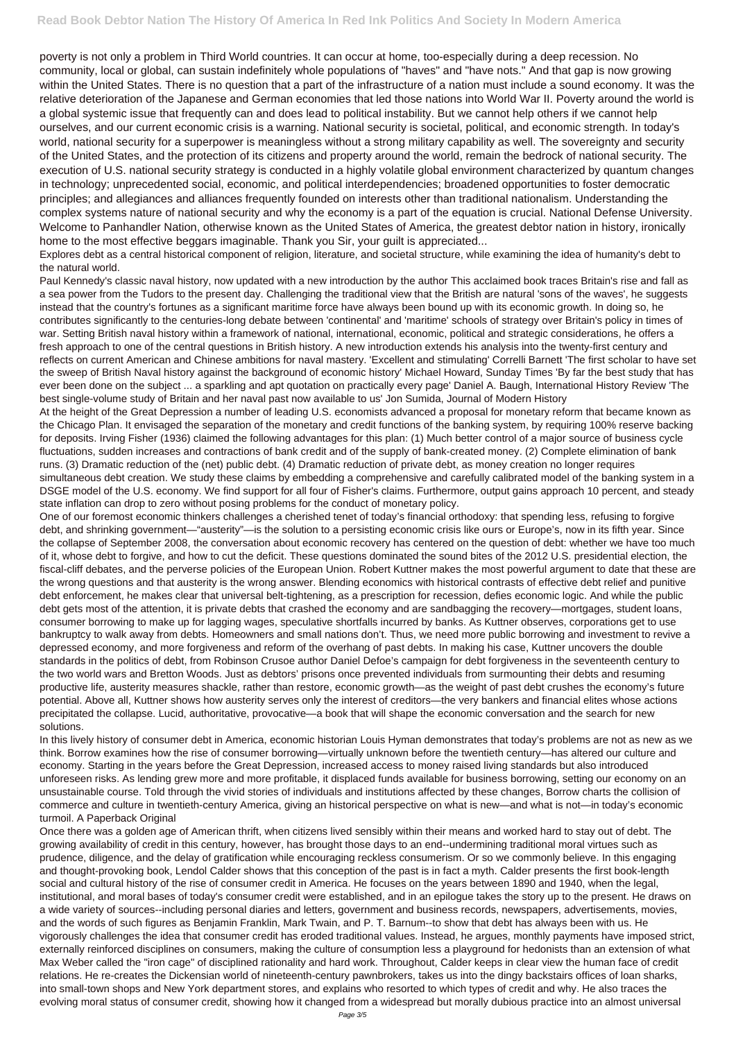poverty is not only a problem in Third World countries. It can occur at home, too-especially during a deep recession. No community, local or global, can sustain indefinitely whole populations of "haves" and "have nots." And that gap is now growing within the United States. There is no question that a part of the infrastructure of a nation must include a sound economy. It was the relative deterioration of the Japanese and German economies that led those nations into World War II. Poverty around the world is a global systemic issue that frequently can and does lead to political instability. But we cannot help others if we cannot help ourselves, and our current economic crisis is a warning. National security is societal, political, and economic strength. In today's world, national security for a superpower is meaningless without a strong military capability as well. The sovereignty and security of the United States, and the protection of its citizens and property around the world, remain the bedrock of national security. The execution of U.S. national security strategy is conducted in a highly volatile global environment characterized by quantum changes in technology; unprecedented social, economic, and political interdependencies; broadened opportunities to foster democratic principles; and allegiances and alliances frequently founded on interests other than traditional nationalism. Understanding the complex systems nature of national security and why the economy is a part of the equation is crucial. National Defense University. Welcome to Panhandler Nation, otherwise known as the United States of America, the greatest debtor nation in history, ironically home to the most effective beggars imaginable. Thank you Sir, your guilt is appreciated...

Explores debt as a central historical component of religion, literature, and societal structure, while examining the idea of humanity's debt to the natural world.

Paul Kennedy's classic naval history, now updated with a new introduction by the author This acclaimed book traces Britain's rise and fall as a sea power from the Tudors to the present day. Challenging the traditional view that the British are natural 'sons of the waves', he suggests instead that the country's fortunes as a significant maritime force have always been bound up with its economic growth. In doing so, he contributes significantly to the centuries-long debate between 'continental' and 'maritime' schools of strategy over Britain's policy in times of war. Setting British naval history within a framework of national, international, economic, political and strategic considerations, he offers a fresh approach to one of the central questions in British history. A new introduction extends his analysis into the twenty-first century and reflects on current American and Chinese ambitions for naval mastery. 'Excellent and stimulating' Correlli Barnett 'The first scholar to have set the sweep of British Naval history against the background of economic history' Michael Howard, Sunday Times 'By far the best study that has ever been done on the subject ... a sparkling and apt quotation on practically every page' Daniel A. Baugh, International History Review 'The best single-volume study of Britain and her naval past now available to us' Jon Sumida, Journal of Modern History

At the height of the Great Depression a number of leading U.S. economists advanced a proposal for monetary reform that became known as the Chicago Plan. It envisaged the separation of the monetary and credit functions of the banking system, by requiring 100% reserve backing for deposits. Irving Fisher (1936) claimed the following advantages for this plan: (1) Much better control of a major source of business cycle fluctuations, sudden increases and contractions of bank credit and of the supply of bank-created money. (2) Complete elimination of bank runs. (3) Dramatic reduction of the (net) public debt. (4) Dramatic reduction of private debt, as money creation no longer requires simultaneous debt creation. We study these claims by embedding a comprehensive and carefully calibrated model of the banking system in a DSGE model of the U.S. economy. We find support for all four of Fisher's claims. Furthermore, output gains approach 10 percent, and steady state inflation can drop to zero without posing problems for the conduct of monetary policy.

One of our foremost economic thinkers challenges a cherished tenet of today's financial orthodoxy: that spending less, refusing to forgive debt, and shrinking government—"austerity"—is the solution to a persisting economic crisis like ours or Europe's, now in its fifth year. Since the collapse of September 2008, the conversation about economic recovery has centered on the question of debt: whether we have too much of it, whose debt to forgive, and how to cut the deficit. These questions dominated the sound bites of the 2012 U.S. presidential election, the fiscal-cliff debates, and the perverse policies of the European Union. Robert Kuttner makes the most powerful argument to date that these are the wrong questions and that austerity is the wrong answer. Blending economics with historical contrasts of effective debt relief and punitive debt enforcement, he makes clear that universal belt-tightening, as a prescription for recession, defies economic logic. And while the public debt gets most of the attention, it is private debts that crashed the economy and are sandbagging the recovery—mortgages, student loans, consumer borrowing to make up for lagging wages, speculative shortfalls incurred by banks. As Kuttner observes, corporations get to use bankruptcy to walk away from debts. Homeowners and small nations don't. Thus, we need more public borrowing and investment to revive a depressed economy, and more forgiveness and reform of the overhang of past debts. In making his case, Kuttner uncovers the double standards in the politics of debt, from Robinson Crusoe author Daniel Defoe's campaign for debt forgiveness in the seventeenth century to the two world wars and Bretton Woods. Just as debtors' prisons once prevented individuals from surmounting their debts and resuming productive life, austerity measures shackle, rather than restore, economic growth—as the weight of past debt crushes the economy's future potential. Above all, Kuttner shows how austerity serves only the interest of creditors—the very bankers and financial elites whose actions precipitated the collapse. Lucid, authoritative, provocative—a book that will shape the economic conversation and the search for new solutions.

In this lively history of consumer debt in America, economic historian Louis Hyman demonstrates that today's problems are not as new as we think. Borrow examines how the rise of consumer borrowing—virtually unknown before the twentieth century—has altered our culture and economy. Starting in the years before the Great Depression, increased access to money raised living standards but also introduced unforeseen risks. As lending grew more and more profitable, it displaced funds available for business borrowing, setting our economy on an

unsustainable course. Told through the vivid stories of individuals and institutions affected by these changes, Borrow charts the collision of commerce and culture in twentieth-century America, giving an historical perspective on what is new—and what is not—in today's economic turmoil. A Paperback Original

Once there was a golden age of American thrift, when citizens lived sensibly within their means and worked hard to stay out of debt. The growing availability of credit in this century, however, has brought those days to an end--undermining traditional moral virtues such as prudence, diligence, and the delay of gratification while encouraging reckless consumerism. Or so we commonly believe. In this engaging and thought-provoking book, Lendol Calder shows that this conception of the past is in fact a myth. Calder presents the first book-length social and cultural history of the rise of consumer credit in America. He focuses on the years between 1890 and 1940, when the legal, institutional, and moral bases of today's consumer credit were established, and in an epilogue takes the story up to the present. He draws on a wide variety of sources--including personal diaries and letters, government and business records, newspapers, advertisements, movies, and the words of such figures as Benjamin Franklin, Mark Twain, and P. T. Barnum--to show that debt has always been with us. He vigorously challenges the idea that consumer credit has eroded traditional values. Instead, he argues, monthly payments have imposed strict, externally reinforced disciplines on consumers, making the culture of consumption less a playground for hedonists than an extension of what Max Weber called the "iron cage" of disciplined rationality and hard work. Throughout, Calder keeps in clear view the human face of credit relations. He re-creates the Dickensian world of nineteenth-century pawnbrokers, takes us into the dingy backstairs offices of loan sharks, into small-town shops and New York department stores, and explains who resorted to which types of credit and why. He also traces the evolving moral status of consumer credit, showing how it changed from a widespread but morally dubious practice into an almost universal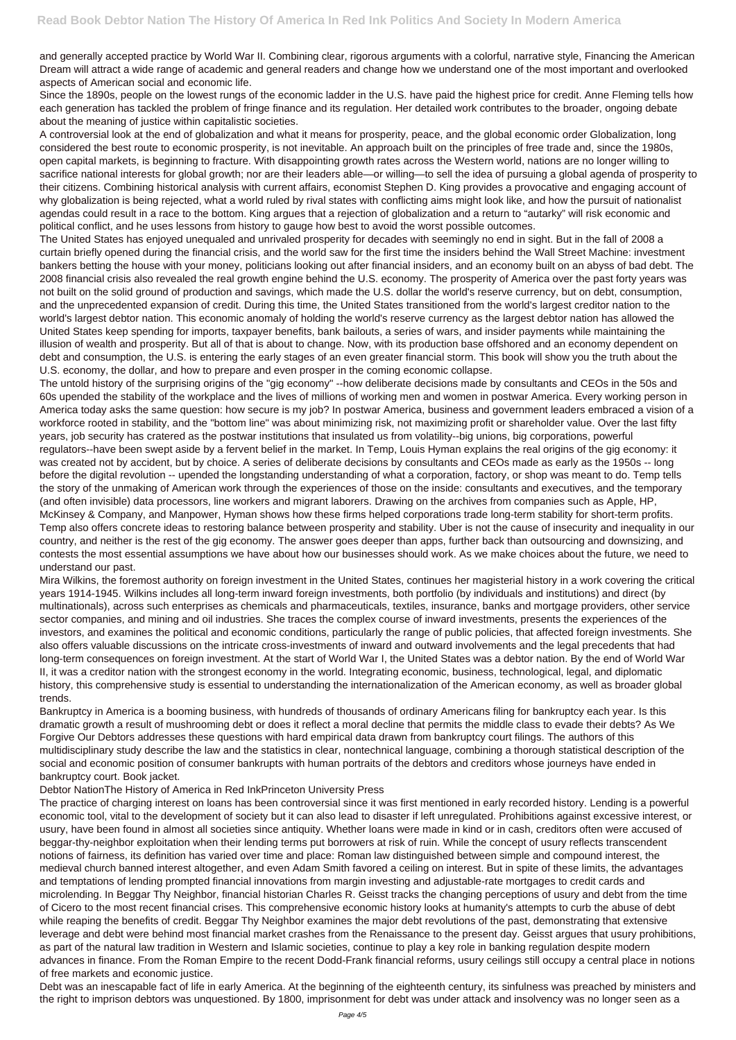and generally accepted practice by World War II. Combining clear, rigorous arguments with a colorful, narrative style, Financing the American Dream will attract a wide range of academic and general readers and change how we understand one of the most important and overlooked aspects of American social and economic life.

Since the 1890s, people on the lowest rungs of the economic ladder in the U.S. have paid the highest price for credit. Anne Fleming tells how each generation has tackled the problem of fringe finance and its regulation. Her detailed work contributes to the broader, ongoing debate about the meaning of justice within capitalistic societies.

A controversial look at the end of globalization and what it means for prosperity, peace, and the global economic order Globalization, long considered the best route to economic prosperity, is not inevitable. An approach built on the principles of free trade and, since the 1980s, open capital markets, is beginning to fracture. With disappointing growth rates across the Western world, nations are no longer willing to sacrifice national interests for global growth; nor are their leaders able—or willing—to sell the idea of pursuing a global agenda of prosperity to their citizens. Combining historical analysis with current affairs, economist Stephen D. King provides a provocative and engaging account of why globalization is being rejected, what a world ruled by rival states with conflicting aims might look like, and how the pursuit of nationalist agendas could result in a race to the bottom. King argues that a rejection of globalization and a return to "autarky" will risk economic and political conflict, and he uses lessons from history to gauge how best to avoid the worst possible outcomes.

The United States has enjoyed unequaled and unrivaled prosperity for decades with seemingly no end in sight. But in the fall of 2008 a curtain briefly opened during the financial crisis, and the world saw for the first time the insiders behind the Wall Street Machine: investment bankers betting the house with your money, politicians looking out after financial insiders, and an economy built on an abyss of bad debt. The 2008 financial crisis also revealed the real growth engine behind the U.S. economy. The prosperity of America over the past forty years was not built on the solid ground of production and savings, which made the U.S. dollar the world's reserve currency, but on debt, consumption, and the unprecedented expansion of credit. During this time, the United States transitioned from the world's largest creditor nation to the world's largest debtor nation. This economic anomaly of holding the world's reserve currency as the largest debtor nation has allowed the United States keep spending for imports, taxpayer benefits, bank bailouts, a series of wars, and insider payments while maintaining the illusion of wealth and prosperity. But all of that is about to change. Now, with its production base offshored and an economy dependent on debt and consumption, the U.S. is entering the early stages of an even greater financial storm. This book will show you the truth about the U.S. economy, the dollar, and how to prepare and even prosper in the coming economic collapse.

The untold history of the surprising origins of the "gig economy" --how deliberate decisions made by consultants and CEOs in the 50s and 60s upended the stability of the workplace and the lives of millions of working men and women in postwar America. Every working person in America today asks the same question: how secure is my job? In postwar America, business and government leaders embraced a vision of a workforce rooted in stability, and the "bottom line" was about minimizing risk, not maximizing profit or shareholder value. Over the last fifty years, job security has cratered as the postwar institutions that insulated us from volatility--big unions, big corporations, powerful regulators--have been swept aside by a fervent belief in the market. In Temp, Louis Hyman explains the real origins of the gig economy: it was created not by accident, but by choice. A series of deliberate decisions by consultants and CEOs made as early as the 1950s -- long before the digital revolution -- upended the longstanding understanding of what a corporation, factory, or shop was meant to do. Temp tells the story of the unmaking of American work through the experiences of those on the inside: consultants and executives, and the temporary (and often invisible) data processors, line workers and migrant laborers. Drawing on the archives from companies such as Apple, HP, McKinsey & Company, and Manpower, Hyman shows how these firms helped corporations trade long-term stability for short-term profits. Temp also offers concrete ideas to restoring balance between prosperity and stability. Uber is not the cause of insecurity and inequality in our country, and neither is the rest of the gig economy. The answer goes deeper than apps, further back than outsourcing and downsizing, and contests the most essential assumptions we have about how our businesses should work. As we make choices about the future, we need to understand our past.

Mira Wilkins, the foremost authority on foreign investment in the United States, continues her magisterial history in a work covering the critical years 1914-1945. Wilkins includes all long-term inward foreign investments, both portfolio (by individuals and institutions) and direct (by multinationals), across such enterprises as chemicals and pharmaceuticals, textiles, insurance, banks and mortgage providers, other service sector companies, and mining and oil industries. She traces the complex course of inward investments, presents the experiences of the investors, and examines the political and economic conditions, particularly the range of public policies, that affected foreign investments. She also offers valuable discussions on the intricate cross-investments of inward and outward involvements and the legal precedents that had long-term consequences on foreign investment. At the start of World War I, the United States was a debtor nation. By the end of World War II, it was a creditor nation with the strongest economy in the world. Integrating economic, business, technological, legal, and diplomatic history, this comprehensive study is essential to understanding the internationalization of the American economy, as well as broader global trends.

Bankruptcy in America is a booming business, with hundreds of thousands of ordinary Americans filing for bankruptcy each year. Is this dramatic growth a result of mushrooming debt or does it reflect a moral decline that permits the middle class to evade their debts? As We Forgive Our Debtors addresses these questions with hard empirical data drawn from bankruptcy court filings. The authors of this multidisciplinary study describe the law and the statistics in clear, nontechnical language, combining a thorough statistical description of the social and economic position of consumer bankrupts with human portraits of the debtors and creditors whose journeys have ended in bankruptcy court. Book jacket.

## Debtor NationThe History of America in Red InkPrinceton University Press

The practice of charging interest on loans has been controversial since it was first mentioned in early recorded history. Lending is a powerful economic tool, vital to the development of society but it can also lead to disaster if left unregulated. Prohibitions against excessive interest, or usury, have been found in almost all societies since antiquity. Whether loans were made in kind or in cash, creditors often were accused of beggar-thy-neighbor exploitation when their lending terms put borrowers at risk of ruin. While the concept of usury reflects transcendent notions of fairness, its definition has varied over time and place: Roman law distinguished between simple and compound interest, the medieval church banned interest altogether, and even Adam Smith favored a ceiling on interest. But in spite of these limits, the advantages and temptations of lending prompted financial innovations from margin investing and adjustable-rate mortgages to credit cards and microlending. In Beggar Thy Neighbor, financial historian Charles R. Geisst tracks the changing perceptions of usury and debt from the time of Cicero to the most recent financial crises. This comprehensive economic history looks at humanity's attempts to curb the abuse of debt while reaping the benefits of credit. Beggar Thy Neighbor examines the major debt revolutions of the past, demonstrating that extensive leverage and debt were behind most financial market crashes from the Renaissance to the present day. Geisst argues that usury prohibitions, as part of the natural law tradition in Western and Islamic societies, continue to play a key role in banking regulation despite modern advances in finance. From the Roman Empire to the recent Dodd-Frank financial reforms, usury ceilings still occupy a central place in notions of free markets and economic justice.

Debt was an inescapable fact of life in early America. At the beginning of the eighteenth century, its sinfulness was preached by ministers and the right to imprison debtors was unquestioned. By 1800, imprisonment for debt was under attack and insolvency was no longer seen as a